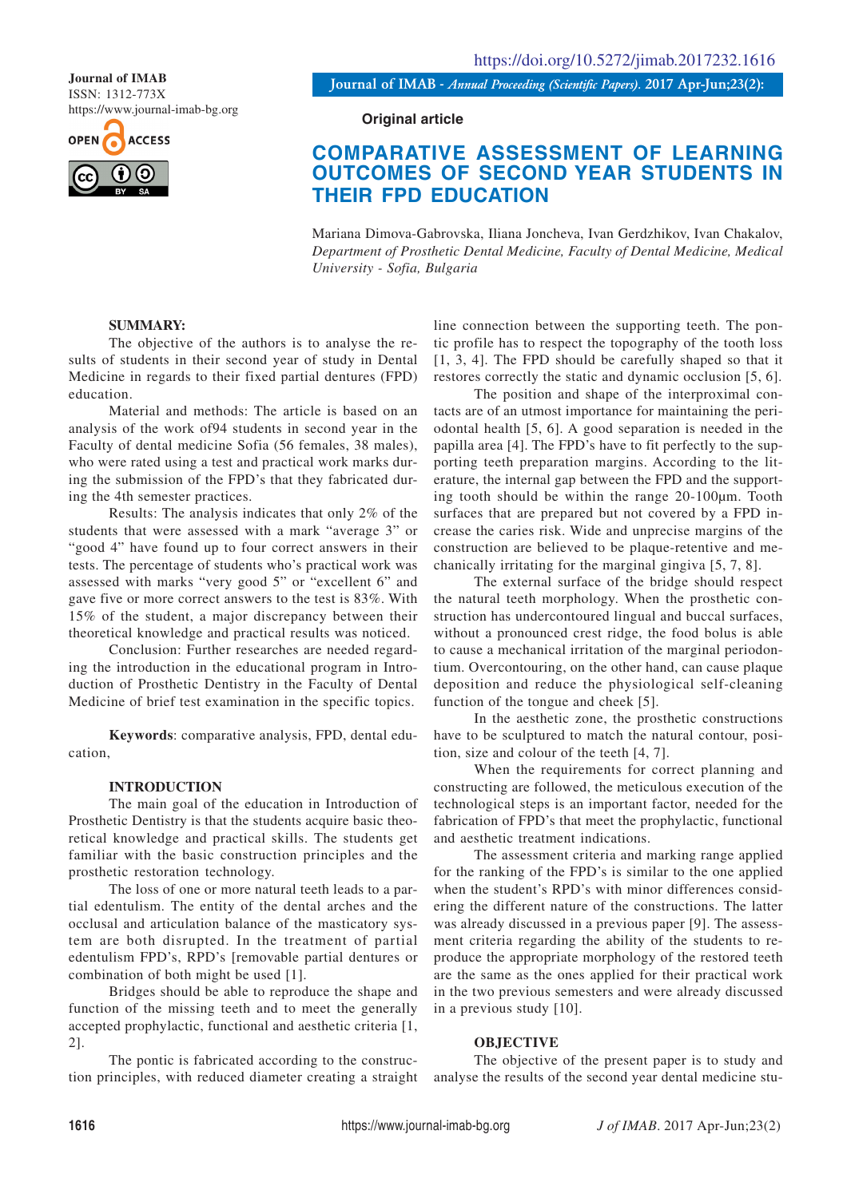ISSN: 1312-773X

https://www.journal-imab-bg.org



**Journal of IMAB** *- Annual Proceeding (Scientific Papers).* **2017 Apr-Jun;23(2): Journal of IMAB**

**Original article**

# **COMPARATIVE ASSESSMENT OF LEARNING OUTCOMES OF SECOND YEAR STUDENTS IN THEIR FPD EDUCATION**

Mariana Dimova-Gabrovska, Iliana Joncheva, Ivan Gerdzhikov, Ivan Chakalov, *Department of Prosthetic Dental Medicine, Faculty of Dental Medicine, Medical University - Sofia, Bulgaria*

## **SUMMARY:**

The objective of the authors is to analyse the results of students in their second year of study in Dental Medicine in regards to their fixed partial dentures (FPD) education.

Material and methods: The article is based on an analysis of the work of94 students in second year in the Faculty of dental medicine Sofia (56 females, 38 males), who were rated using a test and practical work marks during the submission of the FPD's that they fabricated during the 4th semester practices.

Results: The analysis indicates that only 2% of the students that were assessed with a mark "average 3" or "good 4" have found up to four correct answers in their tests. The percentage of students who's practical work was assessed with marks "very good 5" or "excellent 6" and gave five or more correct answers to the test is 83%. With 15% of the student, a major discrepancy between their theoretical knowledge and practical results was noticed.

Conclusion: Further researches are needed regarding the introduction in the educational program in Introduction of Prosthetic Dentistry in the Faculty of Dental Medicine of brief test examination in the specific topics.

**Keywords**: comparative analysis, FPD, dental education,

#### **INTRODUCTION**

The main goal of the education in Introduction of Prosthetic Dentistry is that the students acquire basic theoretical knowledge and practical skills. The students get familiar with the basic construction principles and the prosthetic restoration technology.

The loss of one or more natural teeth leads to a partial edentulism. The entity of the dental arches and the occlusal and articulation balance of the masticatory system are both disrupted. In the treatment of partial edentulism FPD's, RPD's [removable partial dentures or combination of both might be used [1].

Bridges should be able to reproduce the shape and function of the missing teeth and to meet the generally accepted prophylactic, functional and aesthetic criteria [1, 2].

The pontic is fabricated according to the construction principles, with reduced diameter creating a straight line connection between the supporting teeth. The pontic profile has to respect the topography of the tooth loss [1, 3, 4]. The FPD should be carefully shaped so that it restores correctly the static and dynamic occlusion [5, 6].

The position and shape of the interproximal contacts are of an utmost importance for maintaining the periodontal health [5, 6]. A good separation is needed in the papilla area [4]. The FPD's have to fit perfectly to the supporting teeth preparation margins. According to the literature, the internal gap between the FPD and the supporting tooth should be within the range 20-100µm. Tooth surfaces that are prepared but not covered by a FPD increase the caries risk. Wide and unprecise margins of the construction are believed to be plaque-retentive and mechanically irritating for the marginal gingiva [5, 7, 8].

The external surface of the bridge should respect the natural teeth morphology. When the prosthetic construction has undercontoured lingual and buccal surfaces, without a pronounced crest ridge, the food bolus is able to cause a mechanical irritation of the marginal periodontium. Overcontouring, on the other hand, can cause plaque deposition and reduce the physiological self-cleaning function of the tongue and cheek [5].

In the aesthetic zone, the prosthetic constructions have to be sculptured to match the natural contour, position, size and colour of the teeth [4, 7].

When the requirements for correct planning and constructing are followed, the meticulous execution of the technological steps is an important factor, needed for the fabrication of FPD's that meet the prophylactic, functional and aesthetic treatment indications.

The assessment criteria and marking range applied for the ranking of the FPD's is similar to the one applied when the student's RPD's with minor differences considering the different nature of the constructions. The latter was already discussed in a previous paper [9]. The assessment criteria regarding the ability of the students to reproduce the appropriate morphology of the restored teeth are the same as the ones applied for their practical work in the two previous semesters and were already discussed in a previous study [10].

#### **OBJECTIVE**

The objective of the present paper is to study and analyse the results of the second year dental medicine stu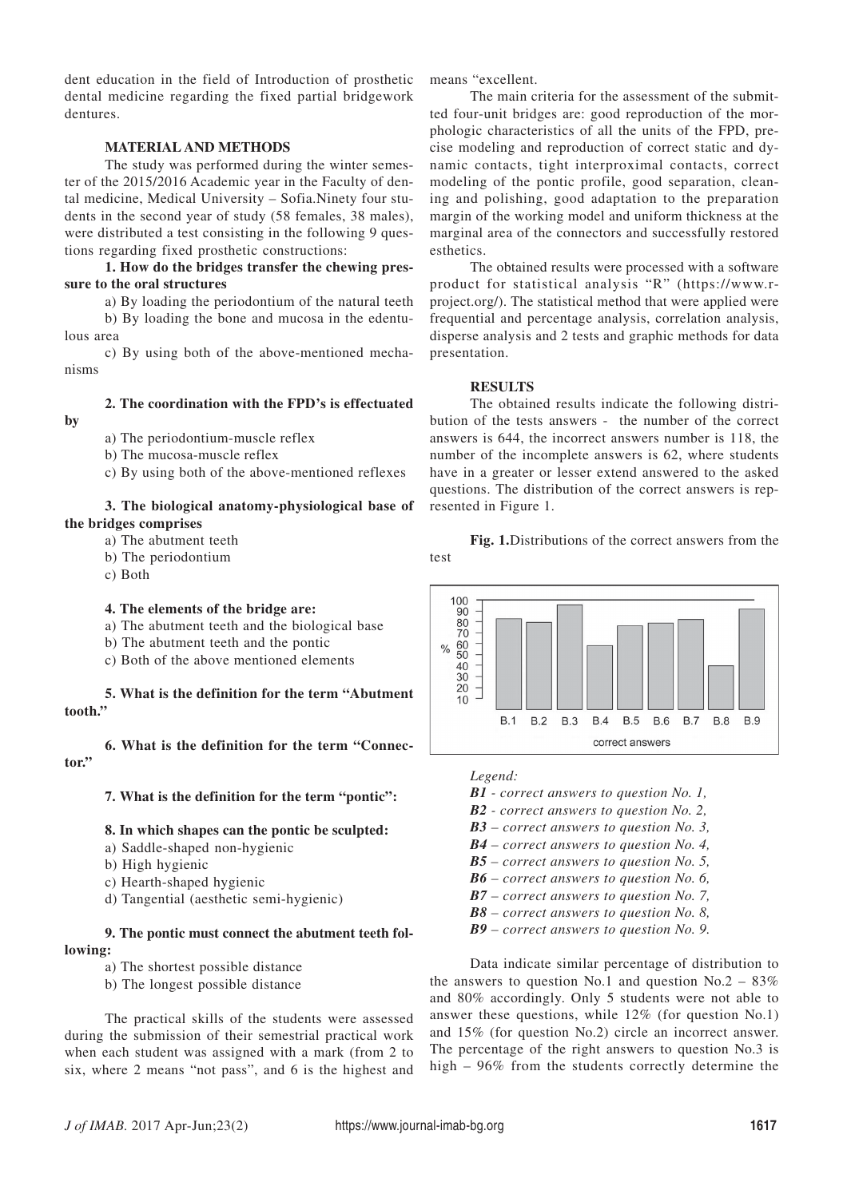dent education in the field of Introduction of prosthetic dental medicine regarding the fixed partial bridgework dentures.

# **MATERIAL AND METHODS**

The study was performed during the winter semester of the 2015/2016 Academic year in the Faculty of dental medicine, Medical University – Sofia.Ninety four students in the second year of study (58 females, 38 males), were distributed a test consisting in the following 9 questions regarding fixed prosthetic constructions:

**1. How do the bridges transfer the chewing pressure to the oral structures**

a) By loading the periodontium of the natural teeth b) By loading the bone and mucosa in the edentulous area

c) By using both of the above-mentioned mechanisms

# **2. The coordination with the FPD's is effectuated**

**by**

- a) The periodontium-muscle reflex
- b) The mucosa-muscle reflex
- c) By using both of the above-mentioned reflexes

#### **3. The biological anatomy-physiological base of the bridges comprises**

- a) The abutment teeth
- b) The periodontium
- c) Both

# **4. The elements of the bridge are:**

- a) The abutment teeth and the biological base
- b) The abutment teeth and the pontic
- c) Both of the above mentioned elements

## **5. What is the definition for the term "Abutment tooth."**

**6. What is the definition for the term "Connector."**

**7. What is the definition for the term "pontic":**

## **8. In which shapes can the pontic be sculpted:**

- a) Saddle-shaped non-hygienic
- b) High hygienic
- c) Hearth-shaped hygienic
- d) Tangential (aesthetic semi-hygienic)

# **9. The pontic must connect the abutment teeth following:**

- a) The shortest possible distance
- b) The longest possible distance

The practical skills of the students were assessed during the submission of their semestrial practical work when each student was assigned with a mark (from 2 to six, where 2 means "not pass", and 6 is the highest and means "excellent.

The main criteria for the assessment of the submitted four-unit bridges are: good reproduction of the morphologic characteristics of all the units of the FPD, precise modeling and reproduction of correct static and dynamic contacts, tight interproximal contacts, correct modeling of the pontic profile, good separation, cleaning and polishing, good adaptation to the preparation margin of the working model and uniform thickness at the marginal area of the connectors and successfully restored esthetics.

The obtained results were processed with a software product for statistical analysis "R" (https://www.rproject.org/). The statistical method that were applied were frequential and percentage analysis, correlation analysis, disperse analysis and 2 tests and graphic methods for data presentation.

## **RESULTS**

The obtained results indicate the following distribution of the tests answers - the number of the correct answers is 644, the incorrect answers number is 118, the number of the incomplete answers is 62, where students have in a greater or lesser extend answered to the asked questions. The distribution of the correct answers is represented in Figure 1.

**Fig. 1.**Distributions of the correct answers from the test



*Legend:*

*B1 - correct answers to question No. 1,*

- *B2 correct answers to question No. 2,*
- *B3 correct answers to question No. 3,*
- *B4 correct answers to question No. 4,*
- *B5 correct answers to question No. 5,*
- *B6 correct answers to question No. 6,*
- *B7 correct answers to question No. 7,*
- *B8 correct answers to question No. 8,*
- *B9 correct answers to question No. 9.*

Data indicate similar percentage of distribution to the answers to question No.1 and question No.2 –  $83\%$ and 80% accordingly. Only 5 students were not able to answer these questions, while 12% (for question No.1) and 15% (for question No.2) circle an incorrect answer. The percentage of the right answers to question No.3 is high – 96% from the students correctly determine the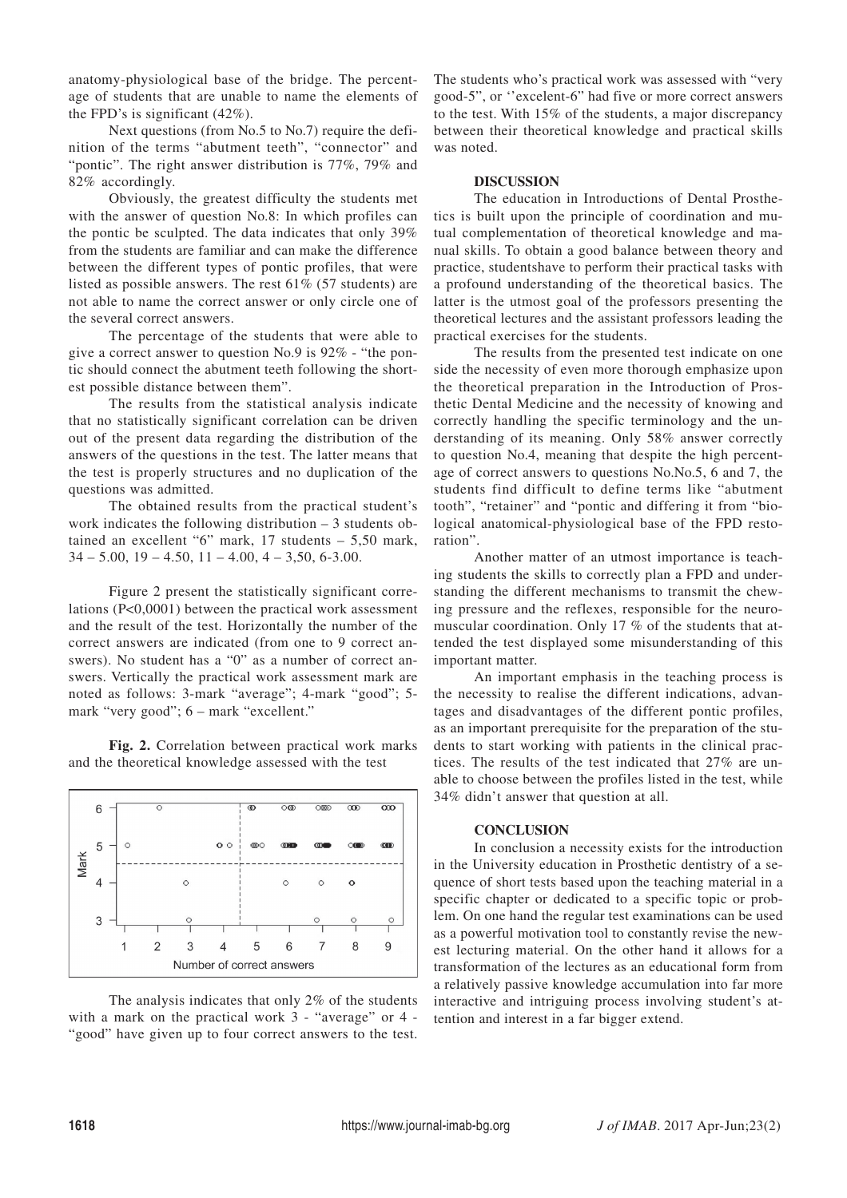anatomy-physiological base of the bridge. The percentage of students that are unable to name the elements of the FPD's is significant (42%).

Next questions (from No.5 to No.7) require the definition of the terms "abutment teeth", "connector" and "pontic". The right answer distribution is 77%, 79% and 82% accordingly.

Obviously, the greatest difficulty the students met with the answer of question No.8: In which profiles can the pontic be sculpted. The data indicates that only 39% from the students are familiar and can make the difference between the different types of pontic profiles, that were listed as possible answers. The rest 61% (57 students) are not able to name the correct answer or only circle one of the several correct answers.

The percentage of the students that were able to give a correct answer to question No.9 is 92% - "the pontic should connect the abutment teeth following the shortest possible distance between them".

The results from the statistical analysis indicate that no statistically significant correlation can be driven out of the present data regarding the distribution of the answers of the questions in the test. The latter means that the test is properly structures and no duplication of the questions was admitted.

The obtained results from the practical student's work indicates the following distribution – 3 students obtained an excellent "6" mark, 17 students – 5,50 mark,  $34 - 5.00$ ,  $19 - 4.50$ ,  $11 - 4.00$ ,  $4 - 3.50$ , 6-3.00.

Figure 2 present the statistically significant correlations (P<0,0001) between the practical work assessment and the result of the test. Horizontally the number of the correct answers are indicated (from one to 9 correct answers). No student has a "0" as a number of correct answers. Vertically the practical work assessment mark are noted as follows: 3-mark "average"; 4-mark "good"; 5 mark "very good"; 6 – mark "excellent."

**Fig. 2.** Correlation between practical work marks and the theoretical knowledge assessed with the test



The analysis indicates that only 2% of the students with a mark on the practical work 3 - "average" or 4 -"good" have given up to four correct answers to the test.

The students who's practical work was assessed with "very good-5", or ''excelent-6" had five or more correct answers to the test. With 15% of the students, a major discrepancy between their theoretical knowledge and practical skills was noted.

#### **DISCUSSION**

The education in Introductions of Dental Prosthetics is built upon the principle of coordination and mutual complementation of theoretical knowledge and manual skills. To obtain a good balance between theory and practice, studentshave to perform their practical tasks with a profound understanding of the theoretical basics. The latter is the utmost goal of the professors presenting the theoretical lectures and the assistant professors leading the practical exercises for the students.

The results from the presented test indicate on one side the necessity of even more thorough emphasize upon the theoretical preparation in the Introduction of Prosthetic Dental Medicine and the necessity of knowing and correctly handling the specific terminology and the understanding of its meaning. Only 58% answer correctly to question No.4, meaning that despite the high percentage of correct answers to questions No.No.5, 6 and 7, the students find difficult to define terms like "abutment tooth", "retainer" and "pontic and differing it from "biological anatomical-physiological base of the FPD restoration".

Another matter of an utmost importance is teaching students the skills to correctly plan a FPD and understanding the different mechanisms to transmit the chewing pressure and the reflexes, responsible for the neuromuscular coordination. Only 17 % of the students that attended the test displayed some misunderstanding of this important matter.

An important emphasis in the teaching process is the necessity to realise the different indications, advantages and disadvantages of the different pontic profiles, as an important prerequisite for the preparation of the students to start working with patients in the clinical practices. The results of the test indicated that 27% are unable to choose between the profiles listed in the test, while 34% didn't answer that question at all.

#### **CONCLUSION**

In conclusion a necessity exists for the introduction in the University education in Prosthetic dentistry of a sequence of short tests based upon the teaching material in a specific chapter or dedicated to a specific topic or problem. On one hand the regular test examinations can be used as a powerful motivation tool to constantly revise the newest lecturing material. On the other hand it allows for a transformation of the lectures as an educational form from a relatively passive knowledge accumulation into far more interactive and intriguing process involving student's attention and interest in a far bigger extend.